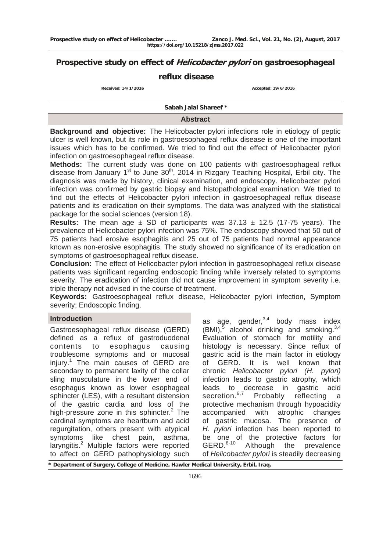# **Prospective study on effect of Helicobacter pylori on gastroesophageal**

# **reflux disease**

**Received: 14/1/2016 Accepted: 19/6/2016 Accepted: 19/6/2016** 

 **Sabah Jalal Shareef \*** 

# **Abstract**

**Background and objective:** The Helicobacter pylori infections role in etiology of peptic ulcer is well known, but its role in gastroesophageal reflux disease is one of the important issues which has to be confirmed. We tried to find out the effect of Helicobacter pylori infection on gastroesophageal reflux disease.

**Methods:** The current study was done on 100 patients with gastroesophageal reflux disease from January 1<sup>st</sup> to June 30<sup>th</sup>, 2014 in Rizgary Teaching Hospital, Erbil city. The diagnosis was made by history, clinical examination, and endoscopy. Helicobacter pylori infection was confirmed by gastric biopsy and histopathological examination. We tried to find out the effects of Helicobacter pylori infection in gastroesophageal reflux disease patients and its eradication on their symptoms. The data was analyzed with the statistical package for the social sciences (version 18).

**Results:** The mean age  $\pm$  SD of participants was 37.13  $\pm$  12.5 (17-75 years). The prevalence of Helicobacter pylori infection was 75%. The endoscopy showed that 50 out of 75 patients had erosive esophagitis and 25 out of 75 patients had normal appearance known as non-erosive esophagitis. The study showed no significance of its eradication on symptoms of gastroesophageal reflux disease.

**Conclusion:** The effect of Helicobacter pylori infection in gastroesophageal reflux disease patients was significant regarding endoscopic finding while inversely related to symptoms severity. The eradication of infection did not cause improvement in symptom severity i.e. triple therapy not advised in the course of treatment.

**Keywords:** Gastroesophageal reflux disease, Helicobacter pylori infection, Symptom severity; Endoscopic finding.

## **Introduction**

Gastroesophageal reflux disease (GERD) defined as a reflux of gastroduodenal contents to esophagus causing troublesome symptoms and or mucosal injury.<sup>1</sup> The main causes of GERD are secondary to permanent laxity of the collar sling musculature in the lower end of esophagus known as lower esophageal sphincter (LES), with a resultant distension of the gastric cardia and loss of the high-pressure zone in this sphincter. $2$  The cardinal symptoms are heartburn and acid regurgitation, others present with atypical symptoms like chest pain, asthma, laryngitis.<sup>2</sup> Multiple factors were reported to affect on GERD pathophysiology such

as age, gender, $3,4$  body mass index  $(BMI)$ ,<sup>5</sup> alcohol drinking and smoking.<sup>3,4</sup> Evaluation of stomach for motility and histology is necessary. Since reflux of gastric acid is the main factor in etiology of GERD. It is well known that chronic *Helicobacter pylori (H. pylori)* infection leads to gastric atrophy, which leads to decrease in gastric acid secretion.<sup>6,7</sup> Probably reflecting a protective mechanism through hypoacidity accompanied with atrophic changes of gastric mucosa. The presence of *H. pylori* infection has been reported to be one of the protective factors for GERD.<sup>8-10</sup> Although the prevalence of *Helicobacter pylori* is steadily decreasing

**\* Department of Surgery, College of Medicine, Hawler Medical University, Erbil, Iraq.**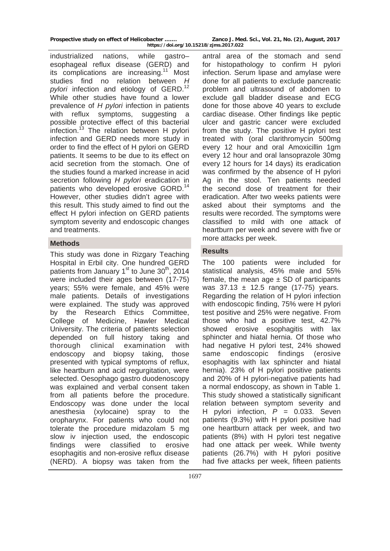industrialized nations, while gastro– esophageal reflux disease (GERD) and its complications are increasing.<sup>11</sup> Most studies find no relation between *H*  pylori infection and etiology of GERD.<sup>12</sup> While other studies have found a lower prevalence of *H pylori* infection in patients with reflux symptoms, suggesting a possible protective effect of this bacterial infection.<sup>13</sup> The relation between H pylori infection and GERD needs more study in order to find the effect of H pylori on GERD patients. It seems to be due to its effect on acid secretion from the stomach. One of the studies found a marked increase in acid secretion following *H pylori* eradication in patients who developed erosive GORD.<sup>14</sup> However, other studies didn't agree with this result. This study aimed to find out the effect H pylori infection on GERD patients symptom severity and endoscopic changes and treatments.

This study was done in Rizgary Teaching Hospital in Erbil city. One hundred GERD patients from January  $1<sup>st</sup>$  to June  $30<sup>th</sup>$ , 2014 were included their ages between (17-75) years; 55% were female, and 45% were male patients. Details of investigations were explained. The study was approved by the Research Ethics Committee, College of Medicine, Hawler Medical University. The criteria of patients selection depended on full history taking and thorough clinical examination with endoscopy and biopsy taking, those presented with typical symptoms of reflux, like heartburn and acid regurgitation, were selected. Oesophago gastro duodenoscopy was explained and verbal consent taken from all patients before the procedure. Endoscopy was done under the local anesthesia (xylocaine) spray to the oropharynx. For patients who could not tolerate the procedure midazolam 5 mg slow iv injection used, the endoscopic findings were classified to erosive esophagitis and non-erosive reflux disease (NERD). A biopsy was taken from the

antral area of the stomach and send for histopathology to confirm H pylori infection. Serum lipase and amylase were done for all patients to exclude pancreatic problem and ultrasound of abdomen to exclude gall bladder disease and ECG done for those above 40 years to exclude cardiac disease. Other findings like peptic ulcer and gastric cancer were excluded from the study. The positive H pylori test treated with (oral clarithromycin 500mg every 12 hour and oral Amoxicillin 1gm every 12 hour and oral lansoprazole 30mg every 12 hours for 14 days) its eradication was confirmed by the absence of H pylori Ag in the stool. Ten patients needed the second dose of treatment for their eradication. After two weeks patients were asked about their symptoms and the results were recorded. The symptoms were classified to mild with one attack of heartburn per week and severe with five or more attacks per week. **Methods** 

# **Results**

The 100 patients were included for statistical analysis, 45% male and 55% female, the mean age  $\pm$  SD of participants was  $37.13 \pm 12.5$  range (17-75) years. Regarding the relation of H pylori infection with endoscopic finding, 75% were H pylori test positive and 25% were negative. From those who had a positive test, 42.7% showed erosive esophagitis with lax sphincter and hiatal hernia. Of those who had negative H pylori test, 24% showed same endoscopic findings (erosive esophagitis with lax sphincter and hiatal hernia). 23% of H pylori positive patients and 20% of H pylori-negative patients had a normal endoscopy, as shown in Table 1. This study showed a statistically significant relation between symptom severity and H pylori infection, *P* = 0.033. Seven patients (9.3%) with H pylori positive had one heartburn attack per week, and two patients (8%) with H pylori test negative had one attack per week. While twenty patients (26.7%) with H pylori positive had five attacks per week, fifteen patients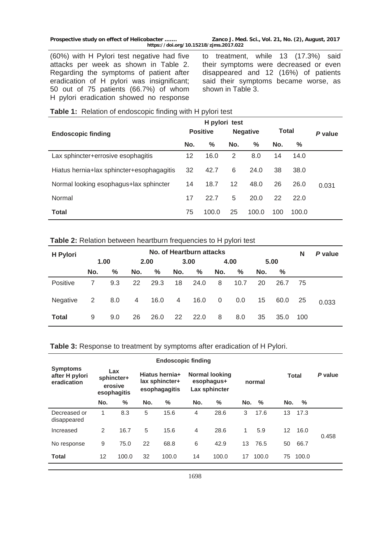|  | Prospective study on effect of Helicobacter |  |  |  |
|--|---------------------------------------------|--|--|--|
|--|---------------------------------------------|--|--|--|

(60%) with H Pylori test negative had five attacks per week as shown in Table 2. Regarding the symptoms of patient after eradication of H pylori was insignificant; 50 out of 75 patients (66.7%) of whom H pylori eradication showed no response

**Prospective study on effect of Helicobacter ……. Zanco J. Med. Sci., Vol. 21, No. (2), August, 2017 https://doi.org/10.15218/zjms.2017.022**

to treatment, while 13 (17.3%) said their symptoms were decreased or even disappeared and 12 (16%) of patients said their symptoms became worse, as shown in Table 3.

| Table 1: Relation of endoscopic finding with H pylori test |  |  |
|------------------------------------------------------------|--|--|
|                                                            |  |  |

|                                           |     | H pylori test   |     |                 |              |       |         |
|-------------------------------------------|-----|-----------------|-----|-----------------|--------------|-------|---------|
| <b>Endoscopic finding</b>                 |     | <b>Positive</b> |     | <b>Negative</b> | <b>Total</b> |       | P value |
|                                           | No. | %               | No. | ℅               | No.          | ℅     |         |
| Lax sphincter+errosive esophagitis        | 12  | 16.0            | 2   | 8.0             | 14           | 14.0  |         |
| Hiatus hernia+lax sphincter+esophagagitis | 32  | 42.7            | 6   | 24.0            | 38           | 38.0  |         |
| Normal looking esophagus+lax sphincter    | 14  | 18.7            | 12  | 48.0            | 26           | 26.0  | 0.031   |
| Normal                                    | 17  | 22.7            | 5   | 20.0            | 22           | 22.0  |         |
| <b>Total</b>                              | 75  | 100.0           | 25  | 100.0           | 100          | 100.0 |         |

#### **Table 2:** Relation between heartburn frequencies to H pylori test

| H Pylori        | No. of Heartburn attacks |      |     |      |      |      |                |      |      | N    | P value |       |
|-----------------|--------------------------|------|-----|------|------|------|----------------|------|------|------|---------|-------|
|                 |                          | 1.00 |     | 2.00 | 3.00 |      | 4.00           |      | 5.00 |      |         |       |
|                 | No.                      | %    | No. | $\%$ | No.  | $\%$ | No.            | %    | No.  | $\%$ |         |       |
| Positive        | 7                        | 9.3  | 22  | 29.3 | 18   | 24.0 | 8              | 10.7 | 20   | 26.7 | -75     |       |
| <b>Negative</b> | 2                        | 8.0  | 4   | 16.0 | 4    | 16.0 | $\overline{0}$ | 0.0  | 15   | 60.0 | -25     | 0.033 |
| <b>Total</b>    | 9                        | 9.0  | 26  | 26.0 | 22   | 22.0 | 8              | 8.0  | 35   | 35.0 | 100     |       |

## **Table 3:** Response to treatment by symptoms after eradication of H Pylori.

| <b>Endoscopic finding</b>                        |                                                                                                  |       |     |                                                      |     |        |     |              |         |       |       |
|--------------------------------------------------|--------------------------------------------------------------------------------------------------|-------|-----|------------------------------------------------------|-----|--------|-----|--------------|---------|-------|-------|
| <b>Symptoms</b><br>after H pylori<br>eradication | Lax<br>Hiatus hernia+<br>sphincter+<br>lax sphincter+<br>erosive<br>esophagagitis<br>esophagitis |       |     | <b>Normal looking</b><br>esophagus+<br>Lax sphincter |     | normal |     | <b>Total</b> | P value |       |       |
|                                                  | No.                                                                                              | %     | No. | $\%$                                                 | No. | %      | No. | %            | No.     | %     |       |
| Decreased or<br>disappeared                      | 1                                                                                                | 8.3   | 5   | 15.6                                                 | 4   | 28.6   | 3   | 17.6         | 13      | 17.3  |       |
| Increased                                        | $\overline{2}$                                                                                   | 16.7  | 5   | 15.6                                                 | 4   | 28.6   | 1   | 5.9          | 12      | 16.0  | 0.458 |
| No response                                      | 9                                                                                                | 75.0  | 22  | 68.8                                                 | 6   | 42.9   | 13  | 76.5         | 50      | 66.7  |       |
| <b>Total</b>                                     | 12                                                                                               | 100.0 | 32  | 100.0                                                | 14  | 100.0  | 17  | 100.0        | 75      | 100.0 |       |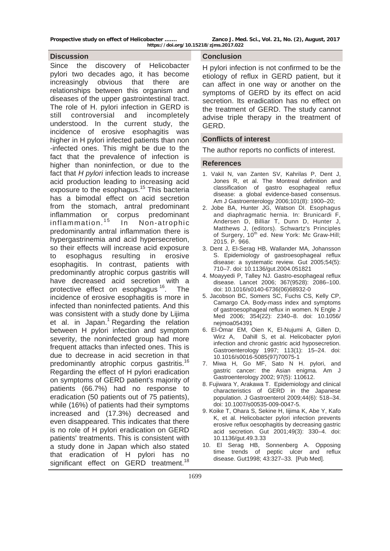**[Prospective study on effect of Helicobacter ……. Zanco J. Med. Sci., Vol. 21, No. \(2\), August, 2017](http://www.amazon.com/s/ref=dp_byline_sr_book_2?ie=UTF8&text=Dana+Andersen&search-alias=books&field-author=Dana+Andersen&sort=relevancerank)** 

**https://doi.org/10.15218/zjms.2017.022**

#### **Discussion**

Since the discovery of Helicobacter pylori two decades ago, it has become increasingly obvious that there are relationships between this organism and diseases of the upper gastrointestinal tract. The role of H. pylori infection in GERD is still controversial and incompletely understood. In the current study, the incidence of erosive esophagitis was higher in H pylori infected patients than non -infected ones. This might be due to the fact that the prevalence of infection is higher than noninfection, or due to the fact that *H pylori* infection leads to increase acid production leading to increasing acid exposure to the esophagus.<sup>15</sup> This bacteria has a bimodal effect on acid secretion from the stomach, antral predominant inflammation or corpus predominant  $inflammation.<sup>15</sup>$  In Non-atrophic predominantly antral inflammation there is hypergastrinemia and acid hypersecretion, so their effects will increase acid exposure to esophagus resulting in erosive esophagitis. In contrast, patients with predominantly atrophic corpus gastritis will have decreased acid secretion with a protective effect on esophagus <sup>16</sup>. The incidence of erosive esophagitis is more in infected than noninfected patients. And this was consistent with a study done by Lijima et al. in Japan.<sup>1</sup> Regarding the relation between H pylori infection and symptom severity, the noninfected group had more frequent attacks than infected ones. This is due to decrease in acid secretion in that predominantly atrophic corpus gastritis.<sup>16</sup> Regarding the effect of H pylori eradication on symptoms of GERD patient's majority of patients (66.7%) had no response to eradication (50 patients out of 75 patients), while (16%) of patients had their symptoms increased and (17.3%) decreased and even disappeared. This indicates that there is no role of H pylori eradication on GERD patients' treatments. This is consistent with a study done in Japan which also stated that eradication of H pylori has no significant effect on GERD treatment.<sup>18</sup>

### **Conclusion**

H pylori infection is not confirmed to be the etiology of reflux in GERD patient, but it can affect in one way or another on the symptoms of GERD by its effect on acid secretion. Its eradication has no effect on the treatment of GERD. The study cannot advise triple therapy in the treatment of GERD.

# **Conflicts of interest**

The author reports no conflicts of interest.

#### **References**

- 1. Vakil N, van Zanten SV, Kahrilas P, Dent J, Jones R, et al. The Montreal definition and classification of gastro esophageal reflux disease: a global evidence-based consensus. Am J Gastroenterology 2006;101(8): 1900–20;
- 2. Jobe BA, Hunter JG, Watson DI. Esophagus and diaphragmatic hernia. In: [Brunicardi](http://www.amazon.com/s/ref=dp_byline_sr_book_1?ie=UTF8&text=F.+Brunicardi&search-alias=books&field-author=F.+Brunicardi&sort=relevancerank) F, Andersen D, [Billiar](http://www.amazon.com/s/ref=dp_byline_sr_book_3?ie=UTF8&text=Timothy+Billiar&search-alias=books&field-author=Timothy+Billiar&sort=relevancerank) T[, Dunn](http://www.amazon.com/s/ref=dp_byline_sr_book_4?ie=UTF8&text=David+Dunn&search-alias=books&field-author=David+Dunn&sort=relevancerank) D, [Hunter](http://www.amazon.com/s/ref=dp_byline_sr_book_5?ie=UTF8&text=John+Hunter&search-alias=books&field-author=John+Hunter&sort=relevancerank) J, [Matthews](http://www.amazon.com/s/ref=dp_byline_sr_book_6?ie=UTF8&text=Jeffrey+Matthews&search-alias=books&field-author=Jeffrey+Matthews&sort=relevancerank) J, (editors). Schwartz's Principles of Surgery, 10<sup>th</sup> ed. New York: Mc Graw-Hill; 2015. P. 966.
- 3. Dent J, El-Serag HB, Wallander MA, Johansson S. Epidemiology of gastroesophageal reflux disease: a systematic review. Gut 2005;54(5): 710–7. doi: 10.1136/gut.2004.051821
- 4. Moayyedi P, Talley NJ. Gastro-esophageal reflux disease. Lancet 2006; 367(9528): 2086–100. doi: 10.1016/s0140-6736(06)68932-0
- 5. Jacobson BC, Somers SC, Fuchs CS, Kelly CP, Camargo CA. Body-mass index and symptoms of gastroesophageal reflux in women. N Engle J Med 2006; 354(22): 2340–8. doi: 10.1056/ nejmoa054391
- 6. El-Omar EM, Oien K, El-Nujumi A, Gillen D, Wirz A, Dahill S, et al. Helicobacter pylori infection and chronic gastric acid hyposecretion. Gastroenterology 1997; 113(1): 15–24. doi: 10.1016/s0016-5085(97)70075-1
- 7. Miwa H, Go MF, Sato N H. pylori, and gastric cancer: the Asian enigma. Am J Gastroenterology 2002; 97(5): 110612.
- 8. Fujiwara Y, Arakawa T. Epidemiology and clinical characteristics of GERD in the Japanese population. J Gastroenterol 2009;44(6): 518–34. doi: 10.1007/s00535-009-0047-5.
- 9. Koike T, Ohara S, Sekine H, Iijima K, Abe Y, Kafo K, et al. Helicobacter pylori infection prevents erosive reflux oesophagitis by decreasing gastric acid secretion. Gut 2001;49(3): 330–4. doi: 10.1136/gut.49.3.33
- 10. El Serag HB, Sonnenberg A. Opposing time trends of peptic ulcer and reflux disease. Gut1998; 43:327–33. [Pub Med].